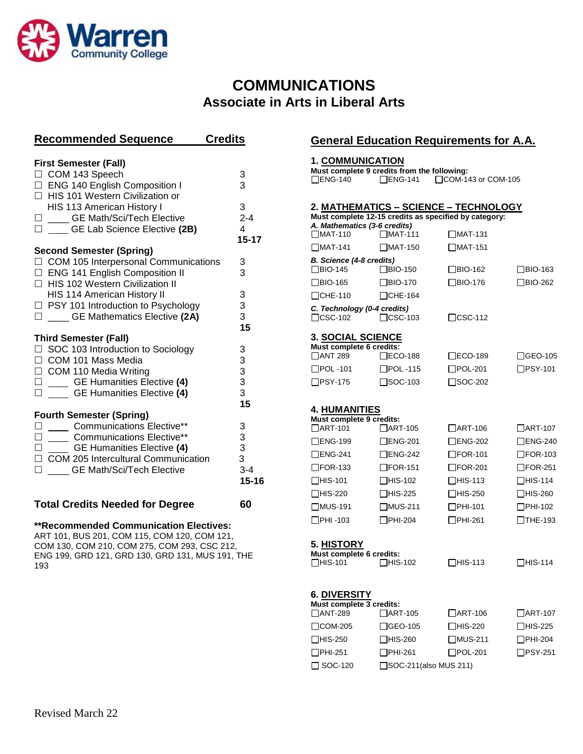

## **COMMUNICATIONS Associate in Arts in Liberal Arts**

| <b>Recommended Sequence</b>                                                                      | <b>Credits</b>                             |  |
|--------------------------------------------------------------------------------------------------|--------------------------------------------|--|
|                                                                                                  |                                            |  |
| <b>First Semester (Fall)</b>                                                                     |                                            |  |
| □ COM 143 Speech                                                                                 | 3                                          |  |
| □ ENG 140 English Composition I                                                                  | 3                                          |  |
| □ HIS 101 Western Civilization or                                                                |                                            |  |
| HIS 113 American History I                                                                       | 3                                          |  |
| □ ____ GE Math/Sci/Tech Elective                                                                 | $2 - 4$                                    |  |
| □ ____ GE Lab Science Elective (2B)                                                              | $\overline{4}$                             |  |
|                                                                                                  | $15 - 17$                                  |  |
| <b>Second Semester (Spring)</b>                                                                  |                                            |  |
| □ COM 105 Interpersonal Communications                                                           | 3                                          |  |
| □ ENG 141 English Composition II                                                                 | 3                                          |  |
| □ HIS 102 Western Civilization II                                                                |                                            |  |
| HIS 114 American History II                                                                      | 3                                          |  |
| □ PSY 101 Introduction to Psychology                                                             | 3                                          |  |
| □ ___ GE Mathematics Elective (2A)                                                               | 3                                          |  |
|                                                                                                  | 15                                         |  |
| <b>Third Semester (Fall)</b>                                                                     |                                            |  |
| □ SOC 103 Introduction to Sociology                                                              | 3                                          |  |
| COM 101 Mass Media                                                                               |                                            |  |
|                                                                                                  |                                            |  |
| □ COM 110 Media Writing<br>□ ____ GE Humanities Elective (4)<br>□ ___ GE Humanities Elective (4) | $\begin{array}{c} 3 \\ 3 \\ 3 \end{array}$ |  |
|                                                                                                  |                                            |  |
|                                                                                                  | 15                                         |  |
| <b>Fourth Semester (Spring)</b>                                                                  |                                            |  |
| <b>Communications Elective**</b><br>$\Box$<br>$\overline{\phantom{a}}$                           |                                            |  |
|                                                                                                  |                                            |  |
|                                                                                                  | $\begin{array}{c} 3 \\ 3 \\ 3 \end{array}$ |  |
| □ COM 205 Intercultural Communication                                                            |                                            |  |
| П<br><b>GE Math/Sci/Tech Elective</b>                                                            | $3 - 4$                                    |  |
|                                                                                                  | $15 - 16$                                  |  |
|                                                                                                  | 60                                         |  |
| <b>Total Credits Needed for Degree</b>                                                           |                                            |  |

#### **\*\*Recommended Communication Electives:**

ART 101, BUS 201, COM 115, COM 120, COM 121, COM 130, COM 210, COM 275, COM 293, CSC 212, ENG 199, GRD 121, GRD 130, GRD 131, MUS 191, THE 193

## **General Education Requirements for A.A.**

#### **1. COMMUNICATION**

| $\Box$ ENG-140                                | Must complete 9 credits from the following:<br>$\Box$ ENG-141 | □COM-143 or COM-105                                   |                   |
|-----------------------------------------------|---------------------------------------------------------------|-------------------------------------------------------|-------------------|
|                                               |                                                               |                                                       |                   |
|                                               |                                                               | <u> 2. MATHEMATICS – SCIENCE – TECHNOLOGY</u>         |                   |
| A. Mathematics (3-6 credits)                  |                                                               | Must complete 12-15 credits as specified by category: |                   |
| □MAT-110                                      | $\Box$ MAT-111                                                | $\Box$ MAT-131                                        |                   |
| $\Box$ MAT-141                                | $\Box$ MAT-150                                                | $\Box$ MAT-151                                        |                   |
| B. Science (4-8 credits)<br>$\Box$ BIO-145    | $\Box$ BIO-150                                                | □BIO-162                                              | ∏BIO-163          |
| □BIO-165                                      | $\Box$ BIO-170                                                | $\Box$ BIO-176                                        | BIO-262           |
| $\Box$ CHE-110                                | $\Box$ CHE-164                                                |                                                       |                   |
| C. Technology (0-4 credits)<br>$\Box$ CSC-102 | $\square$ CSC-103                                             | $\square$ CSC-112                                     |                   |
| <b>3. SOCIAL SCIENCE</b>                      |                                                               |                                                       |                   |
| Must complete 6 credits:<br><b>CANT 289</b>   | $\square$ ECO-188                                             | $\square$ ECO-189                                     | $\Box$ GEO-105    |
| $\Box$ POL -101                               | $\Box$ POL -115                                               | $\Box$ POL-201                                        | $\Box$ PSY-101    |
| $\Box$ PSY-175                                | $\square$ SOC-103                                             | $\square$ SOC-202                                     |                   |
| 4. HUMANITIES                                 |                                                               |                                                       |                   |
| Must complete 9 credits:                      |                                                               |                                                       |                   |
| $\Box$ ART-101                                | $\Box$ ART-105                                                | $\Box$ ART-106                                        | $\Box$ ART-107    |
| $\Box$ ENG-199                                | □ENG-201                                                      | $\Box$ ENG-202                                        | $\Box$ ENG-240    |
| $\Box$ ENG-241                                | $\Box$ ENG-242                                                | $\Box$ FOR-101                                        | $\square$ FOR-103 |
| $\Box$ FOR-133                                | $\Box$ FOR-151                                                | $\Box$ FOR-201                                        | $\Box$ FOR-251    |
| $\Box$ HIS-101                                | $\Box$ HIS-102                                                | $\Box$ HIS-113                                        | $\Box$ HIS-114    |
| $\Box$ HIS-220                                | $\Box$ HIS-225                                                | $\Box$ HIS-250                                        | $\Box$ HIS-260    |
| $\Box$ MUS-191                                | $\Box$ MUS-211                                                | $\Box$ PHI-101                                        | $\Box$ PHI-102    |
| $\Box$ PHI -103                               | $\Box$ PHI-204                                                | $\Box$ PHI-261                                        | $\Box$ THE-193    |
| <u>5. HISTORY</u>                             |                                                               |                                                       |                   |
| Must complete 6 credits:<br>$\Box$ HIS-101    | $\Box$ HIS-102                                                | ∃HIS-113                                              | _HIS-114          |
| 6. DIVERSITY<br>Must complete 3 credits:      |                                                               |                                                       |                   |
| $\Box$ ANT-289                                | $\Box$ ART-105                                                | $\Box$ ART-106                                        | $\Box$ ART-107    |
| COM-205                                       | GEO-105                                                       | _HIS-220                                              | ]HIS-225          |
| <b>HIS-250</b>                                | _HIS-260                                                      | ∃MUS-211                                              | PHI-204           |
| ]PHI-251                                      | □PHI-261                                                      | $\Box$ POL-201                                        | PSY-251]          |
| SOC-120                                       | SOC-211(also MUS 211)                                         |                                                       |                   |